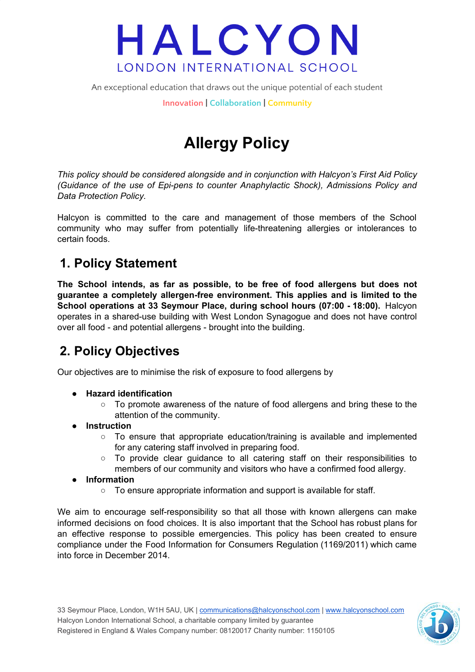An exceptional education that draws out the unique potential of each student

**Innovation | Collaboration | Community**

## **Allergy Policy**

*This policy should be considered alongside and in conjunction with Halcyon's First Aid Policy (Guidance of the use of Epi-pens to counter Anaphylactic Shock), Admissions Policy and Data Protection Policy.*

Halcyon is committed to the care and management of those members of the School community who may suffer from potentially life-threatening allergies or intolerances to certain foods.

### **1. Policy Statement**

**The School intends, as far as possible, to be free of food allergens but does not guarantee a completely allergen-free environment. This applies and is limited to the School operations at 33 Seymour Place, during school hours (07:00 - 18:00).** Halcyon operates in a shared-use building with West London Synagogue and does not have control over all food - and potential allergens - brought into the building.

### **2. Policy Objectives**

Our objectives are to minimise the risk of exposure to food allergens by

- **● Hazard identification**
	- **○** To promote awareness of the nature of food allergens and bring these to the attention of the community.
- **● Instruction**
	- **○** To ensure that appropriate education/training is available and implemented for any catering staff involved in preparing food.
	- **○** To provide clear guidance to all catering staff on their responsibilities to members of our community and visitors who have a confirmed food allergy.
- **● Information**
	- **○** To ensure appropriate information and support is available for staff.

We aim to encourage self-responsibility so that all those with known allergens can make informed decisions on food choices. It is also important that the School has robust plans for an effective response to possible emergencies. This policy has been created to ensure compliance under the Food Information for Consumers Regulation (1169/2011) which came into force in December 2014.

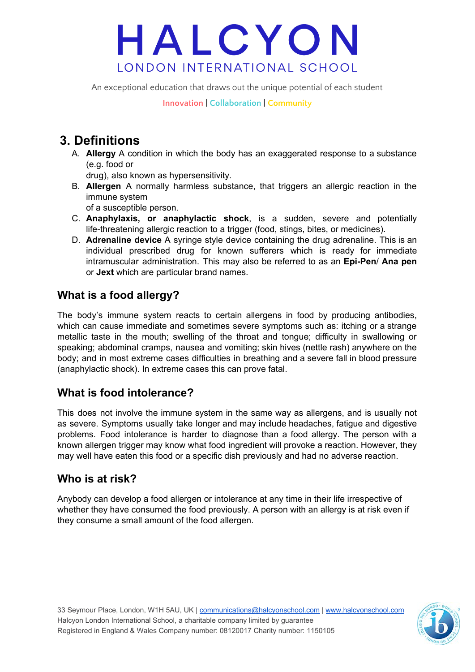An exceptional education that draws out the unique potential of each student

**Innovation | Collaboration | Community**

### **3. Definitions**

A. **Allergy** A condition in which the body has an exaggerated response to a substance (e.g. food or

drug), also known as hypersensitivity.

B. **Allergen** A normally harmless substance, that triggers an allergic reaction in the immune system

of a susceptible person.

- C. **Anaphylaxis, or anaphylactic shock**, is a sudden, severe and potentially life-threatening allergic reaction to a trigger (food, stings, bites, or medicines).
- D. **Adrenaline device** A syringe style device containing the drug adrenaline. This is an individual prescribed drug for known sufferers which is ready for immediate intramuscular administration. This may also be referred to as an **Epi-Pen**/ **Ana pen** or **Jext** which are particular brand names.

#### **What is a food allergy?**

The body's immune system reacts to certain allergens in food by producing antibodies, which can cause immediate and sometimes severe symptoms such as: itching or a strange metallic taste in the mouth; swelling of the throat and tongue; difficulty in swallowing or speaking; abdominal cramps, nausea and vomiting; skin hives (nettle rash) anywhere on the body; and in most extreme cases difficulties in breathing and a severe fall in blood pressure (anaphylactic shock). In extreme cases this can prove fatal.

#### **What is food intolerance?**

This does not involve the immune system in the same way as allergens, and is usually not as severe. Symptoms usually take longer and may include headaches, fatigue and digestive problems. Food intolerance is harder to diagnose than a food allergy. The person with a known allergen trigger may know what food ingredient will provoke a reaction. However, they may well have eaten this food or a specific dish previously and had no adverse reaction.

#### **Who is at risk?**

Anybody can develop a food allergen or intolerance at any time in their life irrespective of whether they have consumed the food previously. A person with an allergy is at risk even if they consume a small amount of the food allergen.

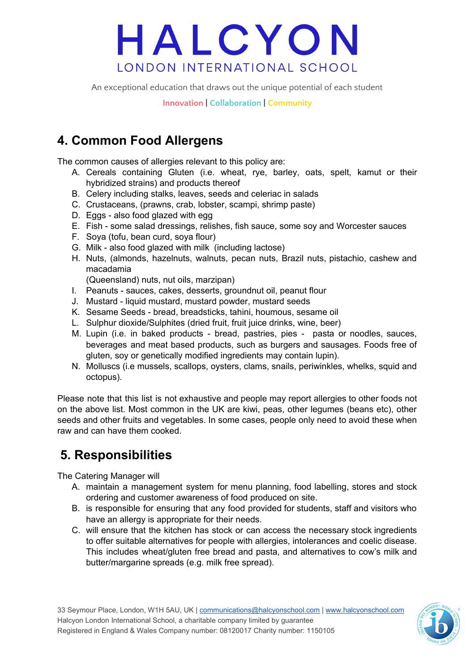An exceptional education that draws out the unique potential of each student

**Innovation | Collaboration | Community**

### **4. Common Food Allergens**

The common causes of allergies relevant to this policy are:

- A. Cereals containing Gluten (i.e. wheat, rye, barley, oats, spelt, kamut or their hybridized strains) and products thereof
- B. Celery including stalks, leaves, seeds and celeriac in salads
- C. Crustaceans, (prawns, crab, lobster, scampi, shrimp paste)
- D. Eggs also food glazed with egg
- E. Fish some salad dressings, relishes, fish sauce, some soy and Worcester sauces
- F. Soya (tofu, bean curd, soya flour)
- G. Milk also food glazed with milk (including lactose)
- H. Nuts, (almonds, hazelnuts, walnuts, pecan nuts, Brazil nuts, pistachio, cashew and macadamia

(Queensland) nuts, nut oils, marzipan)

- I. Peanuts sauces, cakes, desserts, groundnut oil, peanut flour
- J. Mustard liquid mustard, mustard powder, mustard seeds
- K. Sesame Seeds bread, breadsticks, tahini, houmous, sesame oil
- L. Sulphur dioxide/Sulphites (dried fruit, fruit juice drinks, wine, beer)
- M. Lupin (i.e. in baked products bread, pastries, pies pasta or noodles, sauces, beverages and meat based products, such as burgers and sausages. Foods free of gluten, soy or genetically modified ingredients may contain lupin).
- N. Molluscs (i.e mussels, scallops, oysters, clams, snails, periwinkles, whelks, squid and octopus).

Please note that this list is not exhaustive and people may report allergies to other foods not on the above list. Most common in the UK are kiwi, peas, other legumes (beans etc), other seeds and other fruits and vegetables. In some cases, people only need to avoid these when raw and can have them cooked.

### **5. Responsibilities**

The Catering Manager will

- A. maintain a management system for menu planning, food labelling, stores and stock ordering and customer awareness of food produced on site.
- B. is responsible for ensuring that any food provided for students, staff and visitors who have an allergy is appropriate for their needs.
- C. will ensure that the kitchen has stock or can access the necessary stock ingredients to offer suitable alternatives for people with allergies, intolerances and coelic disease. This includes wheat/gluten free bread and pasta, and alternatives to cow's milk and butter/margarine spreads (e.g. milk free spread).

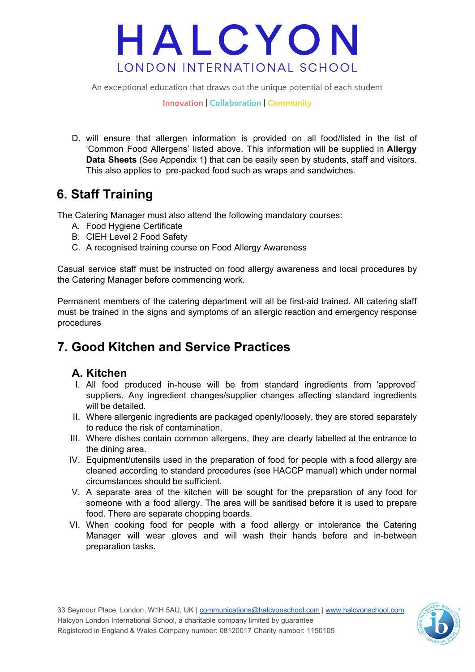An exceptional education that draws out the unique potential of each student

**Innovation | Collaboration | Community**

D. will ensure that allergen information is provided on all food/listed in the list of 'Common Food Allergens' listed above. This information will be supplied in **Allergy Data Sheets** (See Appendix 1**)** that can be easily seen by students, staff and visitors. This also applies to pre-packed food such as wraps and sandwiches.

### **6. Staff Training**

The Catering Manager must also attend the following mandatory courses:

- A. Food Hygiene Certificate
- B. CIEH Level 2 Food Safety
- C. A recognised training course on Food Allergy Awareness

Casual service staff must be instructed on food allergy awareness and local procedures by the Catering Manager before commencing work.

Permanent members of the catering department will all be first-aid trained. All catering staff must be trained in the signs and symptoms of an allergic reaction and emergency response procedures

### **7. Good Kitchen and Service Practices**

#### **A. Kitchen**

- I. All food produced in-house will be from standard ingredients from 'approved' suppliers. Any ingredient changes/supplier changes affecting standard ingredients will be detailed.
- II. Where allergenic ingredients are packaged openly/loosely, they are stored separately to reduce the risk of contamination.
- III. Where dishes contain common allergens, they are clearly labelled at the entrance to the dining area.
- IV. Equipment/utensils used in the preparation of food for people with a food allergy are cleaned according to standard procedures (see HACCP manual) which under normal circumstances should be sufficient.
- V. A separate area of the kitchen will be sought for the preparation of any food for someone with a food allergy. The area will be sanitised before it is used to prepare food. There are separate chopping boards.
- VI. When cooking food for people with a food allergy or intolerance the Catering Manager will wear gloves and will wash their hands before and in-between preparation tasks.

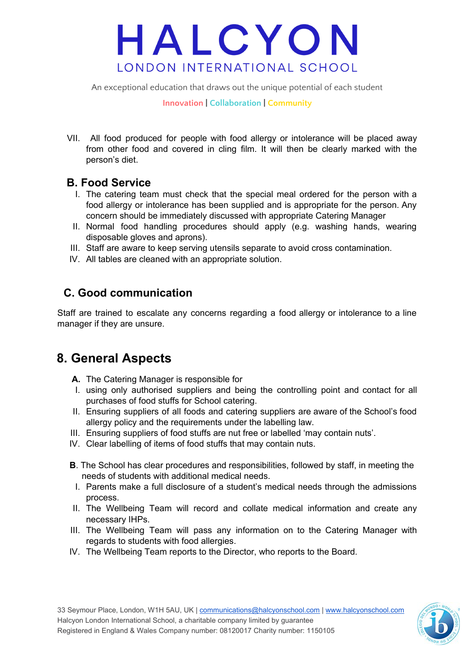An exceptional education that draws out the unique potential of each student

**Innovation | Collaboration | Community**

VII. All food produced for people with food allergy or intolerance will be placed away from other food and covered in cling film. It will then be clearly marked with the person's diet.

#### **B. Food Service**

- I. The catering team must check that the special meal ordered for the person with a food allergy or intolerance has been supplied and is appropriate for the person. Any concern should be immediately discussed with appropriate Catering Manager
- II. Normal food handling procedures should apply (e.g. washing hands, wearing disposable gloves and aprons).
- III. Staff are aware to keep serving utensils separate to avoid cross contamination.
- IV. All tables are cleaned with an appropriate solution.

#### **C. Good communication**

Staff are trained to escalate any concerns regarding a food allergy or intolerance to a line manager if they are unsure.

### **8. General Aspects**

- **A.** The Catering Manager is responsible for
- I. using only authorised suppliers and being the controlling point and contact for all purchases of food stuffs for School catering.
- II. Ensuring suppliers of all foods and catering suppliers are aware of the School's food allergy policy and the requirements under the labelling law.
- III. Ensuring suppliers of food stuffs are nut free or labelled 'may contain nuts'.
- IV. Clear labelling of items of food stuffs that may contain nuts.
- **B**. The School has clear procedures and responsibilities, followed by staff, in meeting the needs of students with additional medical needs.
- I. Parents make a full disclosure of a student's medical needs through the admissions process.
- II. The Wellbeing Team will record and collate medical information and create any necessary IHPs.
- III. The Wellbeing Team will pass any information on to the Catering Manager with regards to students with food allergies.
- IV. The Wellbeing Team reports to the Director, who reports to the Board.

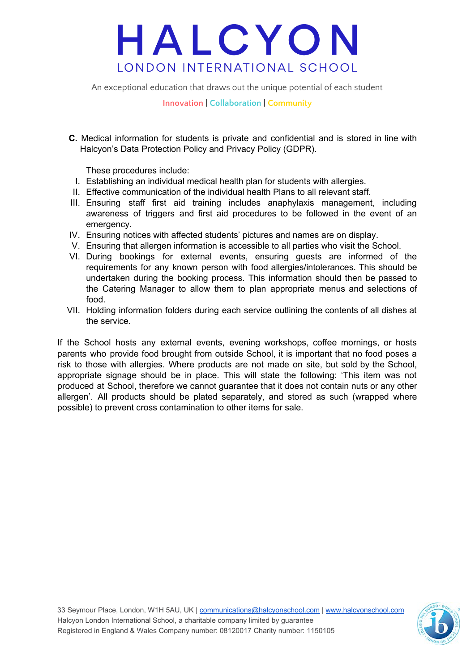An exceptional education that draws out the unique potential of each student

**Innovation | Collaboration | Community**

**C.** Medical information for students is private and confidential and is stored in line with Halcyon's Data Protection Policy and Privacy Policy (GDPR).

These procedures include:

- I. Establishing an individual medical health plan for students with allergies.
- II. Effective communication of the individual health Plans to all relevant staff.
- III. Ensuring staff first aid training includes anaphylaxis management, including awareness of triggers and first aid procedures to be followed in the event of an emergency.
- IV. Ensuring notices with affected students' pictures and names are on display.
- V. Ensuring that allergen information is accessible to all parties who visit the School.
- VI. During bookings for external events, ensuring guests are informed of the requirements for any known person with food allergies/intolerances. This should be undertaken during the booking process. This information should then be passed to the Catering Manager to allow them to plan appropriate menus and selections of food.
- VII. Holding information folders during each service outlining the contents of all dishes at the service.

If the School hosts any external events, evening workshops, coffee mornings, or hosts parents who provide food brought from outside School, it is important that no food poses a risk to those with allergies. Where products are not made on site, but sold by the School, appropriate signage should be in place. This will state the following: 'This item was not produced at School, therefore we cannot guarantee that it does not contain nuts or any other allergen'. All products should be plated separately, and stored as such (wrapped where possible) to prevent cross contamination to other items for sale.